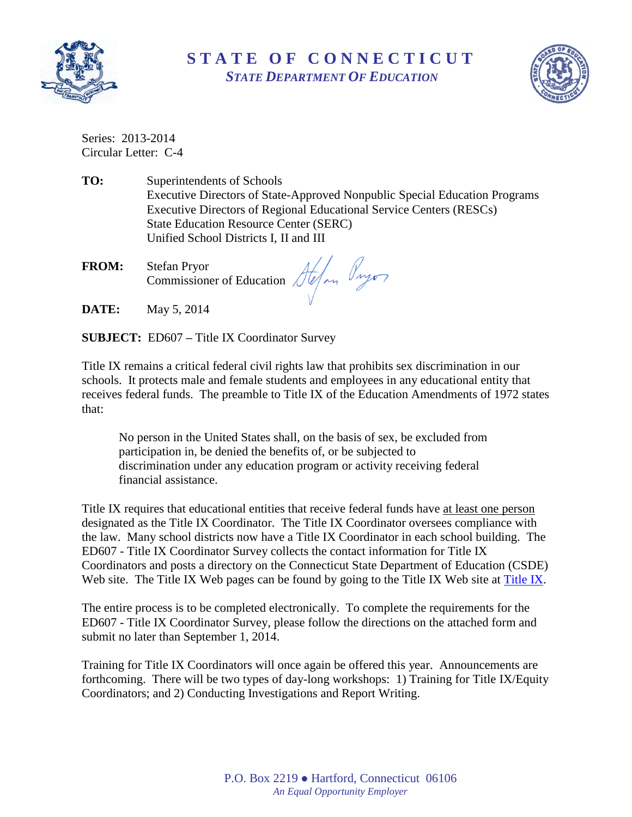

## **S T A T E O F C O N N E C T I C U T** *STATE DEPARTMENT OF EDUCATION*



Series: 2013-2014 Circular Letter: C-4

- **TO:** Superintendents of Schools Executive Directors of State-Approved Nonpublic Special Education Programs Executive Directors of Regional Educational Service Centers (RESCs) State Education Resource Center (SERC) Unified School Districts I, II and III
- **FROM:** Stefan Pryor Commissioner of Education
- **DATE:** May 5, 2014

**SUBJECT:** ED607 **–** Title IX Coordinator Survey

Title IX remains a critical federal civil rights law that prohibits sex discrimination in our schools. It protects male and female students and employees in any educational entity that receives federal funds. The preamble to Title IX of the Education Amendments of 1972 states that:

No person in the United States shall, on the basis of sex, be excluded from participation in, be denied the benefits of, or be subjected to discrimination under any education program or activity receiving federal financial assistance.

Title IX requires that educational entities that receive federal funds have at least one person designated as the Title IX Coordinator. The Title IX Coordinator oversees compliance with the law. Many school districts now have a Title IX Coordinator in each school building. The ED607 - Title IX Coordinator Survey collects the contact information for Title IX Coordinators and posts a directory on the Connecticut State Department of Education (CSDE) Web site. The Title IX Web pages can be found by going to the Title IX Web site at [Title IX.](http://www.sde.ct.gov/sde/cwp/view.asp?a=2681&q=320472)

The entire process is to be completed electronically. To complete the requirements for the ED607 - Title IX Coordinator Survey, please follow the directions on the attached form and submit no later than September 1, 2014.

Training for Title IX Coordinators will once again be offered this year. Announcements are forthcoming. There will be two types of day-long workshops: 1) Training for Title IX/Equity Coordinators; and 2) Conducting Investigations and Report Writing.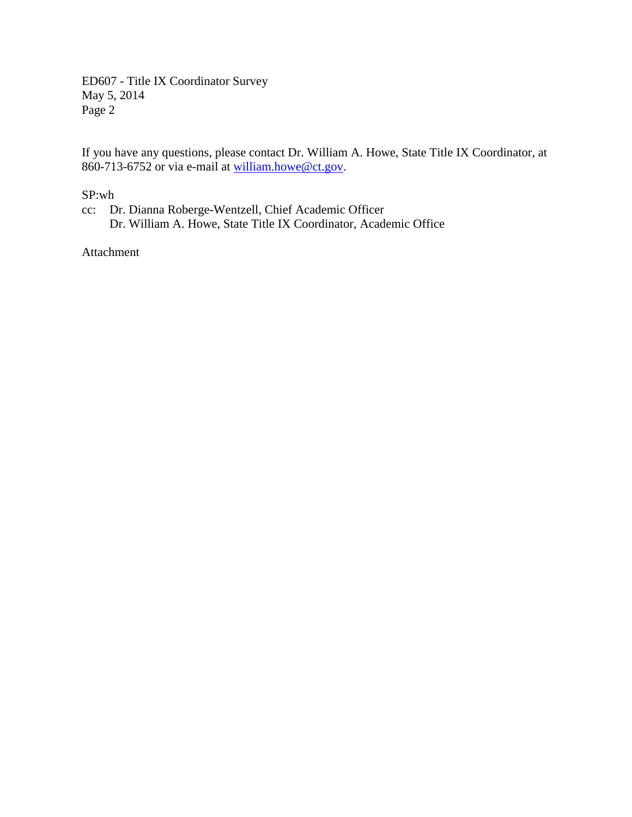ED607 - Title IX Coordinator Survey May 5, 2014 Page 2

If you have any questions, please contact Dr. William A. Howe, State Title IX Coordinator, at 860-713-6752 or via e-mail at [william.howe@ct.gov.](mailto:william.howe@ct.gov)

SP:wh

cc: Dr. Dianna Roberge-Wentzell, Chief Academic Officer Dr. William A. Howe, State Title IX Coordinator, Academic Office

Attachment